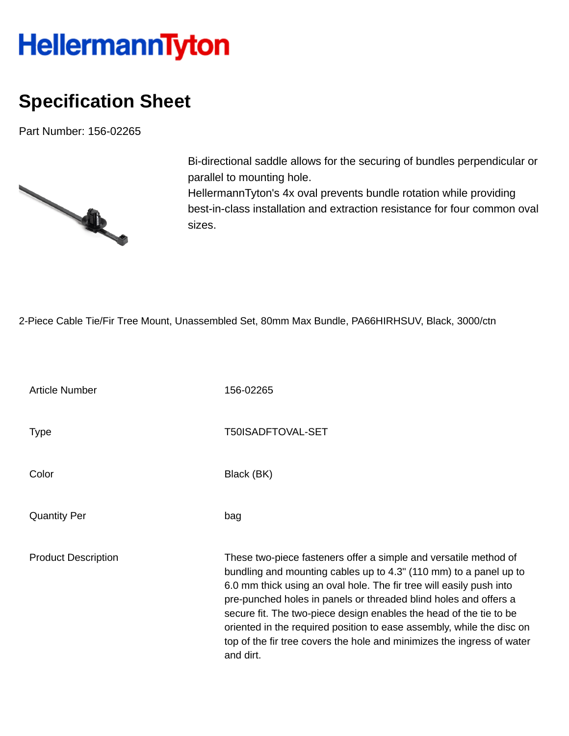## **HellermannTyton**

## **Specification Sheet**

Part Number: 156-02265



Bi-directional saddle allows for the securing of bundles perpendicular or parallel to mounting hole. HellermannTyton's 4x oval prevents bundle rotation while providing best-in-class installation and extraction resistance for four common oval sizes.

2-Piece Cable Tie/Fir Tree Mount, Unassembled Set, 80mm Max Bundle, PA66HIRHSUV, Black, 3000/ctn

| <b>Article Number</b>      | 156-02265                                                                                                                                                                                                                                                                                                                                                                                                                                                                                                              |
|----------------------------|------------------------------------------------------------------------------------------------------------------------------------------------------------------------------------------------------------------------------------------------------------------------------------------------------------------------------------------------------------------------------------------------------------------------------------------------------------------------------------------------------------------------|
| <b>Type</b>                | T50ISADFTOVAL-SET                                                                                                                                                                                                                                                                                                                                                                                                                                                                                                      |
| Color                      | Black (BK)                                                                                                                                                                                                                                                                                                                                                                                                                                                                                                             |
| <b>Quantity Per</b>        | bag                                                                                                                                                                                                                                                                                                                                                                                                                                                                                                                    |
| <b>Product Description</b> | These two-piece fasteners offer a simple and versatile method of<br>bundling and mounting cables up to 4.3" (110 mm) to a panel up to<br>6.0 mm thick using an oval hole. The fir tree will easily push into<br>pre-punched holes in panels or threaded blind holes and offers a<br>secure fit. The two-piece design enables the head of the tie to be<br>oriented in the required position to ease assembly, while the disc on<br>top of the fir tree covers the hole and minimizes the ingress of water<br>and dirt. |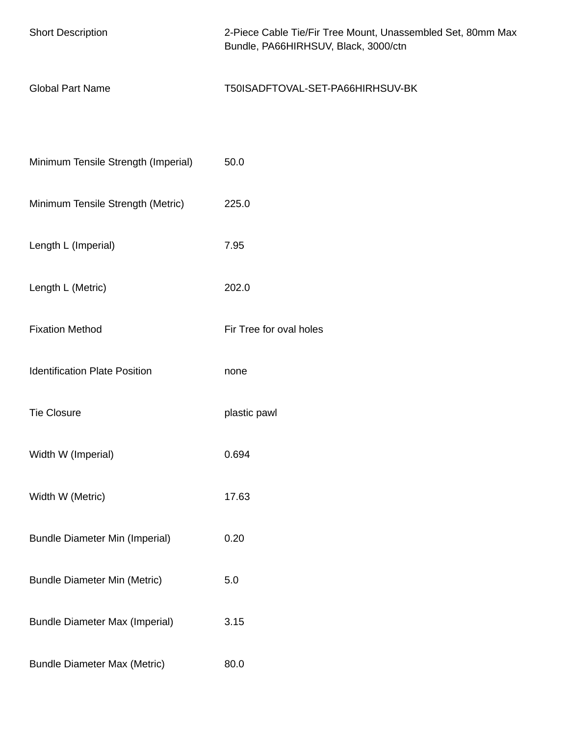| <b>Short Description</b>              | 2-Piece Cable Tie/Fir Tree Mount, Unassembled Set, 80mm Max<br>Bundle, PA66HIRHSUV, Black, 3000/ctn |
|---------------------------------------|-----------------------------------------------------------------------------------------------------|
| <b>Global Part Name</b>               | T50ISADFTOVAL-SET-PA66HIRHSUV-BK                                                                    |
|                                       |                                                                                                     |
| Minimum Tensile Strength (Imperial)   | 50.0                                                                                                |
| Minimum Tensile Strength (Metric)     | 225.0                                                                                               |
| Length L (Imperial)                   | 7.95                                                                                                |
| Length L (Metric)                     | 202.0                                                                                               |
| <b>Fixation Method</b>                | Fir Tree for oval holes                                                                             |
| <b>Identification Plate Position</b>  | none                                                                                                |
| <b>Tie Closure</b>                    | plastic pawl                                                                                        |
| Width W (Imperial)                    | 0.694                                                                                               |
| Width W (Metric)                      | 17.63                                                                                               |
| <b>Bundle Diameter Min (Imperial)</b> | 0.20                                                                                                |
| <b>Bundle Diameter Min (Metric)</b>   | 5.0                                                                                                 |
| <b>Bundle Diameter Max (Imperial)</b> | 3.15                                                                                                |
| <b>Bundle Diameter Max (Metric)</b>   | 80.0                                                                                                |